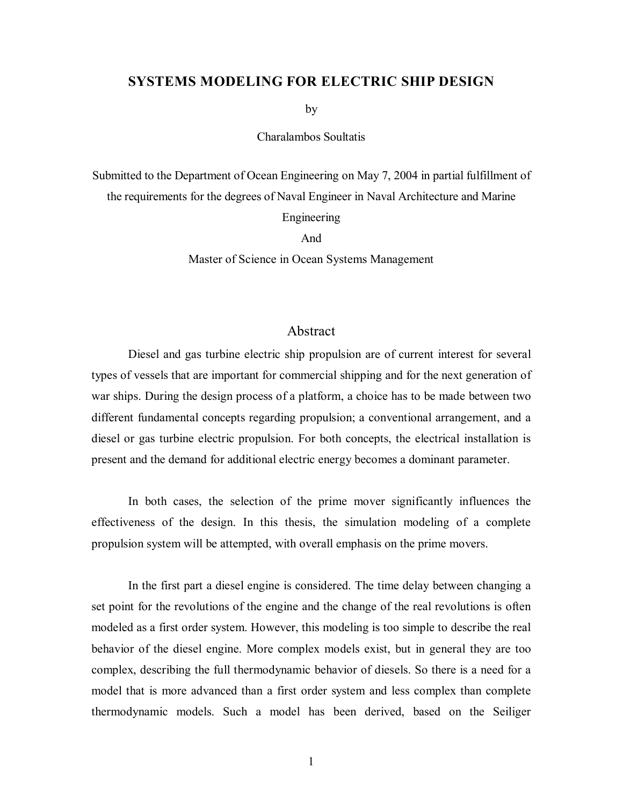## **SYSTEMS MODELING FOR ELECTRIC SHIP DESIGN**

by

Charalambos Soultatis

Submitted to the Department of Ocean Engineering on May 7, 2004 in partial fulfillment of the requirements for the degrees of Naval Engineer in Naval Architecture and Marine Engineering And

Master of Science in Ocean Systems Management

## Abstract

 Diesel and gas turbine electric ship propulsion are of current interest for several types of vessels that are important for commercial shipping and for the next generation of war ships. During the design process of a platform, a choice has to be made between two different fundamental concepts regarding propulsion; a conventional arrangement, and a diesel or gas turbine electric propulsion. For both concepts, the electrical installation is present and the demand for additional electric energy becomes a dominant parameter.

 In both cases, the selection of the prime mover significantly influences the effectiveness of the design. In this thesis, the simulation modeling of a complete propulsion system will be attempted, with overall emphasis on the prime movers.

 In the first part a diesel engine is considered. The time delay between changing a set point for the revolutions of the engine and the change of the real revolutions is often modeled as a first order system. However, this modeling is too simple to describe the real behavior of the diesel engine. More complex models exist, but in general they are too complex, describing the full thermodynamic behavior of diesels. So there is a need for a model that is more advanced than a first order system and less complex than complete thermodynamic models. Such a model has been derived, based on the Seiliger